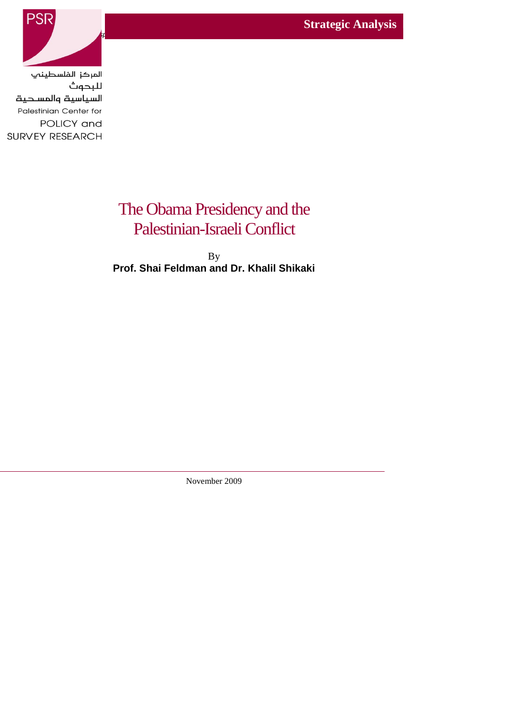**Strategic Analysis** 



المركز الفلسطينب للبحوث السياسية والمسحية Palestinian Center for POLICY and SURVEY RESEARCH

# The Obama Presidency and the Palestinian-Israeli Conflict

By **Prof. Shai Feldman and Dr. Khalil Shikaki**

November 2009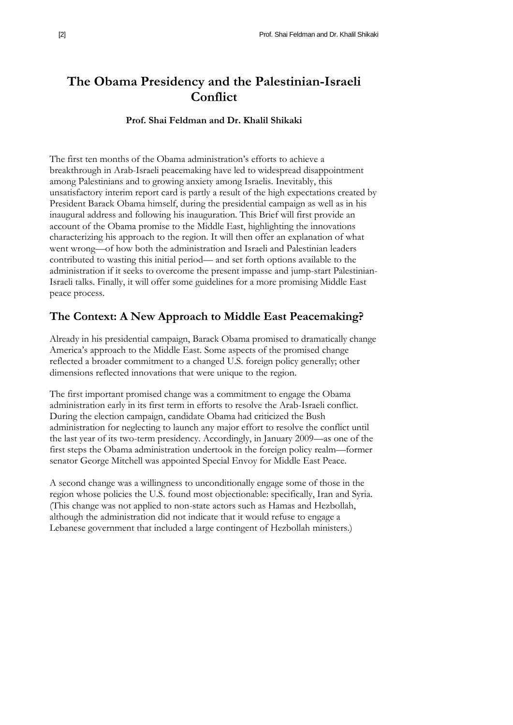# **The Obama Presidency and the Palestinian-Israeli Conflict**

#### **Prof. Shai Feldman and Dr. Khalil Shikaki**

The first ten months of the Obama administration's efforts to achieve a breakthrough in Arab-Israeli peacemaking have led to widespread disappointment among Palestinians and to growing anxiety among Israelis. Inevitably, this unsatisfactory interim report card is partly a result of the high expectations created by President Barack Obama himself, during the presidential campaign as well as in his inaugural address and following his inauguration. This Brief will first provide an account of the Obama promise to the Middle East, highlighting the innovations characterizing his approach to the region. It will then offer an explanation of what went wrong—of how both the administration and Israeli and Palestinian leaders contributed to wasting this initial period— and set forth options available to the administration if it seeks to overcome the present impasse and jump-start Palestinian-Israeli talks. Finally, it will offer some guidelines for a more promising Middle East peace process.

### **The Context: A New Approach to Middle East Peacemaking?**

Already in his presidential campaign, Barack Obama promised to dramatically change America's approach to the Middle East. Some aspects of the promised change reflected a broader commitment to a changed U.S. foreign policy generally; other dimensions reflected innovations that were unique to the region.

The first important promised change was a commitment to engage the Obama administration early in its first term in efforts to resolve the Arab-Israeli conflict. During the election campaign, candidate Obama had criticized the Bush administration for neglecting to launch any major effort to resolve the conflict until the last year of its two-term presidency. Accordingly, in January 2009—as one of the first steps the Obama administration undertook in the foreign policy realm—former senator George Mitchell was appointed Special Envoy for Middle East Peace.

A second change was a willingness to unconditionally engage some of those in the region whose policies the U.S. found most objectionable: specifically, Iran and Syria. (This change was not applied to non-state actors such as Hamas and Hezbollah, although the administration did not indicate that it would refuse to engage a Lebanese government that included a large contingent of Hezbollah ministers.)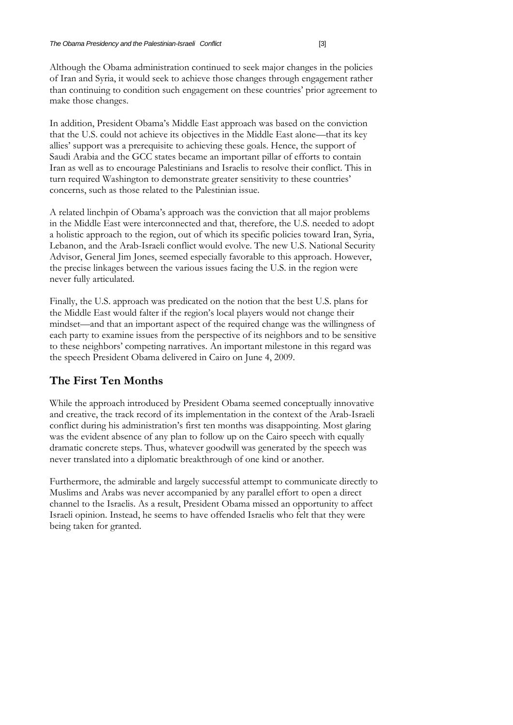Although the Obama administration continued to seek major changes in the policies of Iran and Syria, it would seek to achieve those changes through engagement rather than continuing to condition such engagement on these countries' prior agreement to make those changes.

In addition, President Obama's Middle East approach was based on the conviction that the U.S. could not achieve its objectives in the Middle East alone—that its key allies' support was a prerequisite to achieving these goals. Hence, the support of Saudi Arabia and the GCC states became an important pillar of efforts to contain Iran as well as to encourage Palestinians and Israelis to resolve their conflict. This in turn required Washington to demonstrate greater sensitivity to these countries' concerns, such as those related to the Palestinian issue.

A related linchpin of Obama's approach was the conviction that all major problems in the Middle East were interconnected and that, therefore, the U.S. needed to adopt a holistic approach to the region, out of which its specific policies toward Iran, Syria, Lebanon, and the Arab-Israeli conflict would evolve. The new U.S. National Security Advisor, General Jim Jones, seemed especially favorable to this approach. However, the precise linkages between the various issues facing the U.S. in the region were never fully articulated.

Finally, the U.S. approach was predicated on the notion that the best U.S. plans for the Middle East would falter if the region's local players would not change their mindset—and that an important aspect of the required change was the willingness of each party to examine issues from the perspective of its neighbors and to be sensitive to these neighbors' competing narratives. An important milestone in this regard was the speech President Obama delivered in Cairo on June 4, 2009.

# **The First Ten Months**

While the approach introduced by President Obama seemed conceptually innovative and creative, the track record of its implementation in the context of the Arab-Israeli conflict during his administration's first ten months was disappointing. Most glaring was the evident absence of any plan to follow up on the Cairo speech with equally dramatic concrete steps. Thus, whatever goodwill was generated by the speech was never translated into a diplomatic breakthrough of one kind or another.

Furthermore, the admirable and largely successful attempt to communicate directly to Muslims and Arabs was never accompanied by any parallel effort to open a direct channel to the Israelis. As a result, President Obama missed an opportunity to affect Israeli opinion. Instead, he seems to have offended Israelis who felt that they were being taken for granted.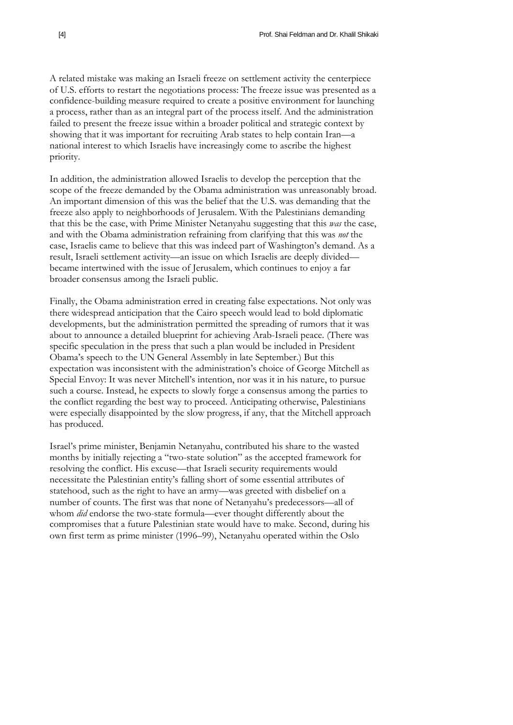A related mistake was making an Israeli freeze on settlement activity the centerpiece of U.S. efforts to restart the negotiations process: The freeze issue was presented as a confidence-building measure required to create a positive environment for launching a process, rather than as an integral part of the process itself. And the administration failed to present the freeze issue within a broader political and strategic context by showing that it was important for recruiting Arab states to help contain Iran—a national interest to which Israelis have increasingly come to ascribe the highest priority.

In addition, the administration allowed Israelis to develop the perception that the scope of the freeze demanded by the Obama administration was unreasonably broad. An important dimension of this was the belief that the U.S. was demanding that the freeze also apply to neighborhoods of Jerusalem. With the Palestinians demanding that this be the case, with Prime Minister Netanyahu suggesting that this *was* the case, and with the Obama administration refraining from clarifying that this was *not* the case, Israelis came to believe that this was indeed part of Washington's demand. As a result, Israeli settlement activity—an issue on which Israelis are deeply divided became intertwined with the issue of Jerusalem, which continues to enjoy a far broader consensus among the Israeli public.

Finally, the Obama administration erred in creating false expectations. Not only was there widespread anticipation that the Cairo speech would lead to bold diplomatic developments, but the administration permitted the spreading of rumors that it was about to announce a detailed blueprint for achieving Arab-Israeli peace. (There was specific speculation in the press that such a plan would be included in President Obama's speech to the UN General Assembly in late September.) But this expectation was inconsistent with the administration's choice of George Mitchell as Special Envoy: It was never Mitchell's intention, nor was it in his nature, to pursue such a course. Instead, he expects to slowly forge a consensus among the parties to the conflict regarding the best way to proceed. Anticipating otherwise, Palestinians were especially disappointed by the slow progress, if any, that the Mitchell approach has produced.

Israel's prime minister, Benjamin Netanyahu, contributed his share to the wasted months by initially rejecting a "two-state solution" as the accepted framework for resolving the conflict. His excuse—that Israeli security requirements would necessitate the Palestinian entity's falling short of some essential attributes of statehood, such as the right to have an army—was greeted with disbelief on a number of counts. The first was that none of Netanyahu's predecessors—all of whom *did* endorse the two-state formula—ever thought differently about the compromises that a future Palestinian state would have to make. Second, during his own first term as prime minister (1996–99), Netanyahu operated within the Oslo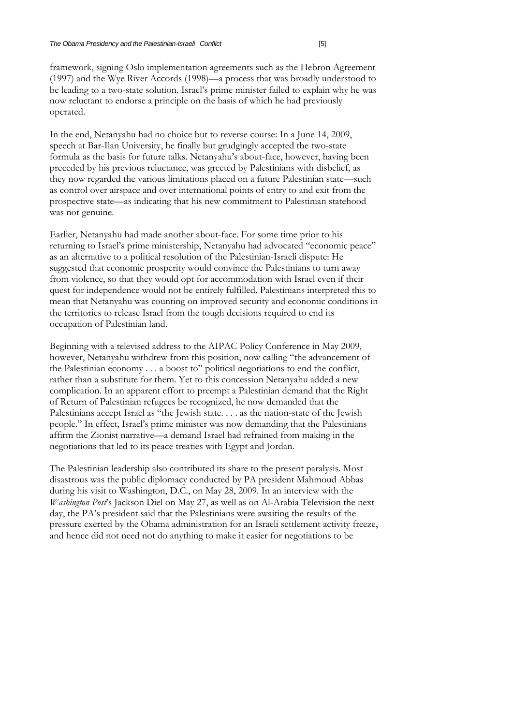framework, signing Oslo implementation agreements such as the Hebron Agreement (1997) and the Wye River Accords (1998)—a process that was broadly understood to be leading to a two-state solution. Israel's prime minister failed to explain why he was now reluctant to endorse a principle on the basis of which he had previously operated.

In the end, Netanyahu had no choice but to reverse course: In a June 14, 2009, speech at Bar-Ilan University, he finally but grudgingly accepted the two-state formula as the basis for future talks. Netanyahu's about-face, however, having been preceded by his previous reluctance, was greeted by Palestinians with disbelief, as they now regarded the various limitations placed on a future Palestinian state—such as control over airspace and over international points of entry to and exit from the prospective state—as indicating that his new commitment to Palestinian statehood was not genuine.

Earlier, Netanyahu had made another about-face. For some time prior to his returning to Israel's prime ministership, Netanyahu had advocated "economic peace" as an alternative to a political resolution of the Palestinian-Israeli dispute: He suggested that economic prosperity would convince the Palestinians to turn away from violence, so that they would opt for accommodation with Israel even if their quest for independence would not be entirely fulfilled. Palestinians interpreted this to mean that Netanyahu was counting on improved security and economic conditions in the territories to release Israel from the tough decisions required to end its occupation of Palestinian land.

Beginning with a televised address to the AIPAC Policy Conference in May 2009, however, Netanyahu withdrew from this position, now calling "the advancement of the Palestinian economy  $\dots$  a boost to" political negotiations to end the conflict, rather than a substitute for them. Yet to this concession Netanyahu added a new complication. In an apparent effort to preempt a Palestinian demand that the Right of Return of Palestinian refugees be recognized, he now demanded that the Palestinians accept Israel as "the Jewish state. . . . as the nation-state of the Jewish people." In effect, Israel's prime minister was now demanding that the Palestinians affirm the Zionist narrative—a demand Israel had refrained from making in the negotiations that led to its peace treaties with Egypt and Jordan.

The Palestinian leadership also contributed its share to the present paralysis. Most disastrous was the public diplomacy conducted by PA president Mahmoud Abbas during his visit to Washington, D.C., on May 28, 2009. In an interview with the *Washington Post*'s Jackson Diel on May 27, as well as on Al-Arabia Television the next day, the PA's president said that the Palestinians were awaiting the results of the pressure exerted by the Obama administration for an Israeli settlement activity freeze, and hence did not need not do anything to make it easier for negotiations to be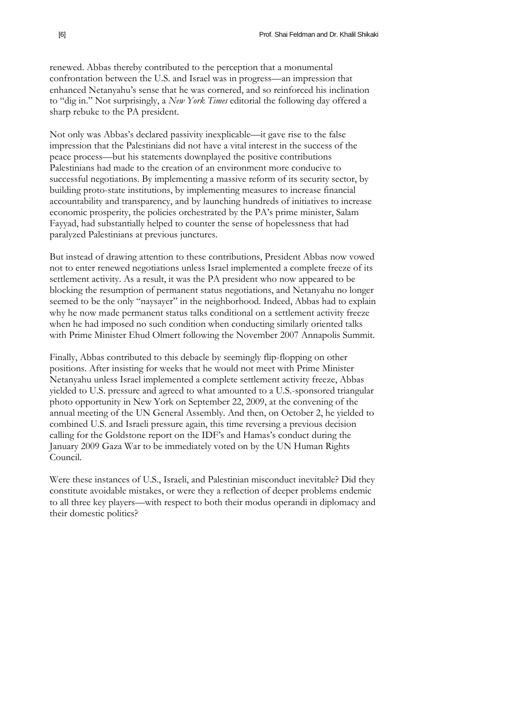renewed. Abbas thereby contributed to the perception that a monumental confrontation between the U.S. and Israel was in progress—an impression that enhanced Netanyahu's sense that he was cornered, and so reinforced his inclination to "dig in." Not surprisingly, a *New York Times* editorial the following day offered a sharp rebuke to the PA president.

Not only was Abbas's declared passivity inexplicable—it gave rise to the false impression that the Palestinians did not have a vital interest in the success of the peace process—but his statements downplayed the positive contributions Palestinians had made to the creation of an environment more conducive to successful negotiations. By implementing a massive reform of its security sector, by building proto-state institutions, by implementing measures to increase financial accountability and transparency, and by launching hundreds of initiatives to increase economic prosperity, the policies orchestrated by the PA's prime minister, Salam Fayyad, had substantially helped to counter the sense of hopelessness that had paralyzed Palestinians at previous junctures.

But instead of drawing attention to these contributions, President Abbas now vowed not to enter renewed negotiations unless Israel implemented a complete freeze of its settlement activity. As a result, it was the PA president who now appeared to be blocking the resumption of permanent status negotiations, and Netanyahu no longer seemed to be the only "naysayer" in the neighborhood. Indeed, Abbas had to explain why he now made permanent status talks conditional on a settlement activity freeze when he had imposed no such condition when conducting similarly oriented talks with Prime Minister Ehud Olmert following the November 2007 Annapolis Summit.

Finally, Abbas contributed to this debacle by seemingly flip-flopping on other positions. After insisting for weeks that he would not meet with Prime Minister Netanyahu unless Israel implemented a complete settlement activity freeze, Abbas yielded to U.S. pressure and agreed to what amounted to a U.S.-sponsored triangular photo opportunity in New York on September 22, 2009, at the convening of the annual meeting of the UN General Assembly. And then, on October 2, he yielded to combined U.S. and Israeli pressure again, this time reversing a previous decision calling for the Goldstone report on the IDF's and Hamas's conduct during the January 2009 Gaza War to be immediately voted on by the UN Human Rights Council.

Were these instances of U.S., Israeli, and Palestinian misconduct inevitable? Did they constitute avoidable mistakes, or were they a reflection of deeper problems endemic to all three key players—with respect to both their modus operandi in diplomacy and their domestic politics?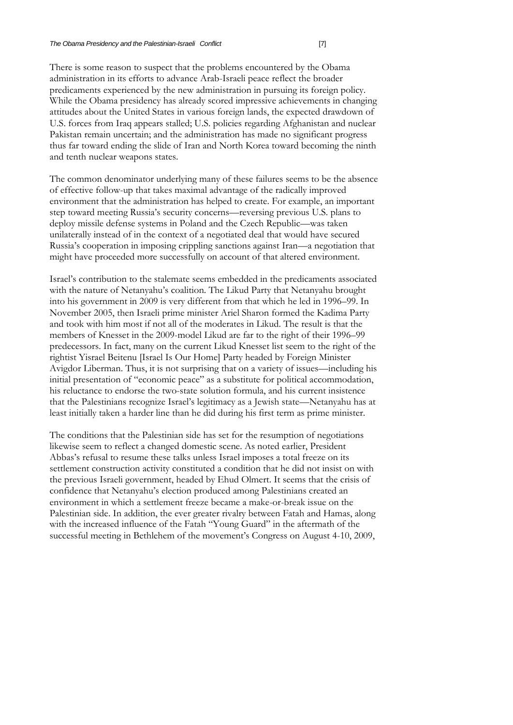There is some reason to suspect that the problems encountered by the Obama administration in its efforts to advance Arab-Israeli peace reflect the broader predicaments experienced by the new administration in pursuing its foreign policy. While the Obama presidency has already scored impressive achievements in changing attitudes about the United States in various foreign lands, the expected drawdown of U.S. forces from Iraq appears stalled; U.S. policies regarding Afghanistan and nuclear Pakistan remain uncertain; and the administration has made no significant progress thus far toward ending the slide of Iran and North Korea toward becoming the ninth and tenth nuclear weapons states.

The common denominator underlying many of these failures seems to be the absence of effective follow-up that takes maximal advantage of the radically improved environment that the administration has helped to create. For example, an important step toward meeting Russia's security concerns—reversing previous U.S. plans to deploy missile defense systems in Poland and the Czech Republic—was taken unilaterally instead of in the context of a negotiated deal that would have secured Russia's cooperation in imposing crippling sanctions against Iran—a negotiation that might have proceeded more successfully on account of that altered environment.

Israel's contribution to the stalemate seems embedded in the predicaments associated with the nature of Netanyahu's coalition. The Likud Party that Netanyahu brought into his government in 2009 is very different from that which he led in 1996–99. In November 2005, then Israeli prime minister Ariel Sharon formed the Kadima Party and took with him most if not all of the moderates in Likud. The result is that the members of Knesset in the 2009-model Likud are far to the right of their 1996–99 predecessors. In fact, many on the current Likud Knesset list seem to the right of the rightist Yisrael Beitenu [Israel Is Our Home] Party headed by Foreign Minister Avigdor Liberman. Thus, it is not surprising that on a variety of issues—including his initial presentation of "economic peace" as a substitute for political accommodation, his reluctance to endorse the two-state solution formula, and his current insistence that the Palestinians recognize Israel's legitimacy as a Jewish state—Netanyahu has at least initially taken a harder line than he did during his first term as prime minister.

The conditions that the Palestinian side has set for the resumption of negotiations likewise seem to reflect a changed domestic scene. As noted earlier, President Abbas's refusal to resume these talks unless Israel imposes a total freeze on its settlement construction activity constituted a condition that he did not insist on with the previous Israeli government, headed by Ehud Olmert. It seems that the crisis of confidence that Netanyahu's election produced among Palestinians created an environment in which a settlement freeze became a make-or-break issue on the Palestinian side. In addition, the ever greater rivalry between Fatah and Hamas, along with the increased influence of the Fatah "Young Guard" in the aftermath of the successful meeting in Bethlehem of the movement's Congress on August 4-10, 2009,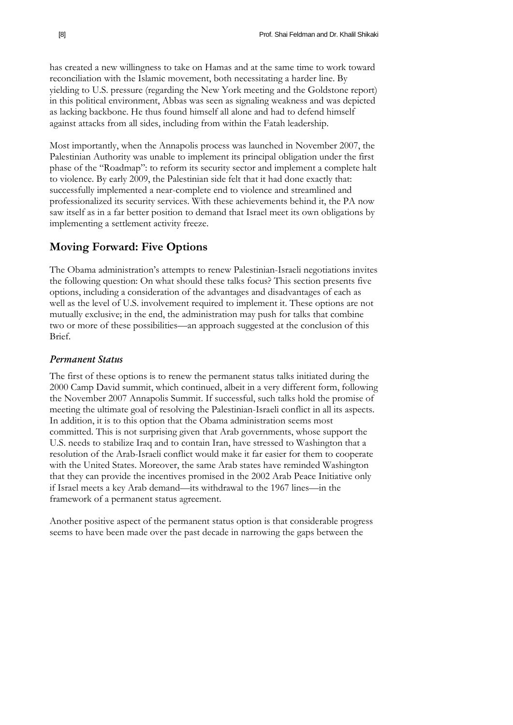has created a new willingness to take on Hamas and at the same time to work toward reconciliation with the Islamic movement, both necessitating a harder line. By yielding to U.S. pressure (regarding the New York meeting and the Goldstone report) in this political environment, Abbas was seen as signaling weakness and was depicted as lacking backbone. He thus found himself all alone and had to defend himself against attacks from all sides, including from within the Fatah leadership.

Most importantly, when the Annapolis process was launched in November 2007, the Palestinian Authority was unable to implement its principal obligation under the first phase of the "Roadmap": to reform its security sector and implement a complete halt to violence. By early 2009, the Palestinian side felt that it had done exactly that: successfully implemented a near-complete end to violence and streamlined and professionalized its security services. With these achievements behind it, the PA now saw itself as in a far better position to demand that Israel meet its own obligations by implementing a settlement activity freeze.

# **Moving Forward: Five Options**

The Obama administration's attempts to renew Palestinian-Israeli negotiations invites the following question: On what should these talks focus? This section presents five options, including a consideration of the advantages and disadvantages of each as well as the level of U.S. involvement required to implement it. These options are not mutually exclusive; in the end, the administration may push for talks that combine two or more of these possibilities—an approach suggested at the conclusion of this Brief.

#### *Permanent Status*

The first of these options is to renew the permanent status talks initiated during the 2000 Camp David summit, which continued, albeit in a very different form, following the November 2007 Annapolis Summit. If successful, such talks hold the promise of meeting the ultimate goal of resolving the Palestinian-Israeli conflict in all its aspects. In addition, it is to this option that the Obama administration seems most committed. This is not surprising given that Arab governments, whose support the U.S. needs to stabilize Iraq and to contain Iran, have stressed to Washington that a resolution of the Arab-Israeli conflict would make it far easier for them to cooperate with the United States. Moreover, the same Arab states have reminded Washington that they can provide the incentives promised in the 2002 Arab Peace Initiative only if Israel meets a key Arab demand—its withdrawal to the 1967 lines—in the framework of a permanent status agreement.

Another positive aspect of the permanent status option is that considerable progress seems to have been made over the past decade in narrowing the gaps between the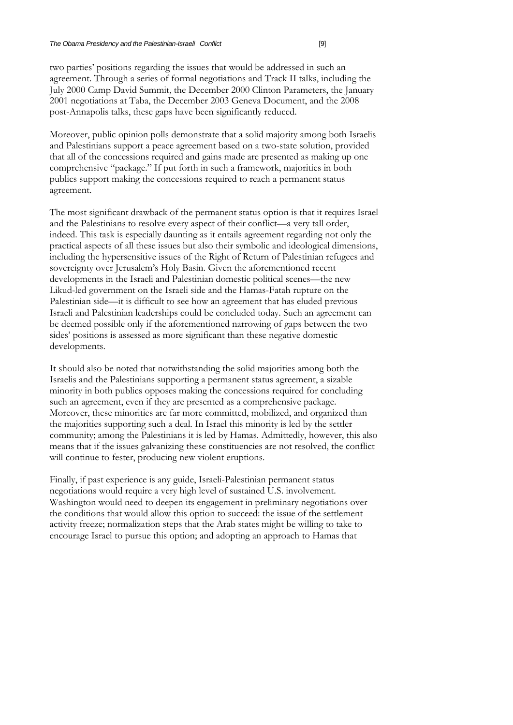two parties' positions regarding the issues that would be addressed in such an agreement. Through a series of formal negotiations and Track II talks, including the July 2000 Camp David Summit, the December 2000 Clinton Parameters, the January 2001 negotiations at Taba, the December 2003 Geneva Document, and the 2008 post-Annapolis talks, these gaps have been significantly reduced.

Moreover, public opinion polls demonstrate that a solid majority among both Israelis and Palestinians support a peace agreement based on a two-state solution, provided that all of the concessions required and gains made are presented as making up one comprehensive "package." If put forth in such a framework, majorities in both publics support making the concessions required to reach a permanent status agreement.

The most significant drawback of the permanent status option is that it requires Israel and the Palestinians to resolve every aspect of their conflict—a very tall order, indeed. This task is especially daunting as it entails agreement regarding not only the practical aspects of all these issues but also their symbolic and ideological dimensions, including the hypersensitive issues of the Right of Return of Palestinian refugees and sovereignty over Jerusalem's Holy Basin. Given the aforementioned recent developments in the Israeli and Palestinian domestic political scenes—the new Likud-led government on the Israeli side and the Hamas-Fatah rupture on the Palestinian side—it is difficult to see how an agreement that has eluded previous Israeli and Palestinian leaderships could be concluded today. Such an agreement can be deemed possible only if the aforementioned narrowing of gaps between the two sides' positions is assessed as more significant than these negative domestic developments.

It should also be noted that notwithstanding the solid majorities among both the Israelis and the Palestinians supporting a permanent status agreement, a sizable minority in both publics opposes making the concessions required for concluding such an agreement, even if they are presented as a comprehensive package. Moreover, these minorities are far more committed, mobilized, and organized than the majorities supporting such a deal. In Israel this minority is led by the settler community; among the Palestinians it is led by Hamas. Admittedly, however, this also means that if the issues galvanizing these constituencies are not resolved, the conflict will continue to fester, producing new violent eruptions.

Finally, if past experience is any guide, Israeli-Palestinian permanent status negotiations would require a very high level of sustained U.S. involvement. Washington would need to deepen its engagement in preliminary negotiations over the conditions that would allow this option to succeed: the issue of the settlement activity freeze; normalization steps that the Arab states might be willing to take to encourage Israel to pursue this option; and adopting an approach to Hamas that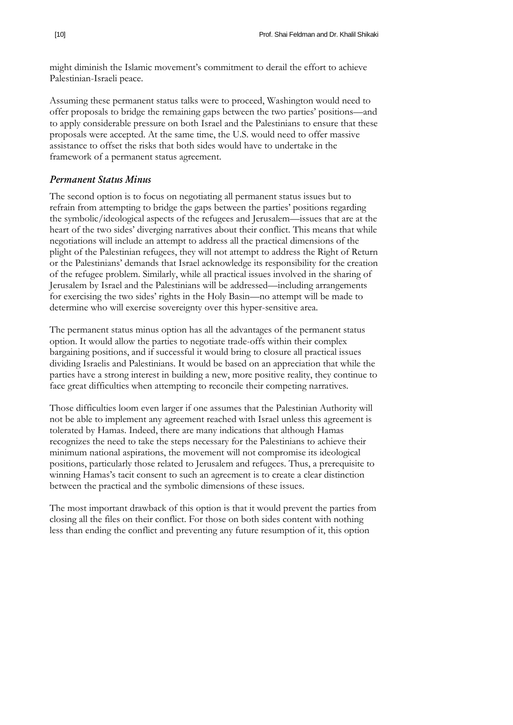might diminish the Islamic movement's commitment to derail the effort to achieve Palestinian-Israeli peace.

Assuming these permanent status talks were to proceed, Washington would need to offer proposals to bridge the remaining gaps between the two parties' positions—and to apply considerable pressure on both Israel and the Palestinians to ensure that these proposals were accepted. At the same time, the U.S. would need to offer massive assistance to offset the risks that both sides would have to undertake in the framework of a permanent status agreement.

#### *Permanent Status Minus*

The second option is to focus on negotiating all permanent status issues but to refrain from attempting to bridge the gaps between the parties' positions regarding the symbolic/ideological aspects of the refugees and Jerusalem—issues that are at the heart of the two sides' diverging narratives about their conflict. This means that while negotiations will include an attempt to address all the practical dimensions of the plight of the Palestinian refugees, they will not attempt to address the Right of Return or the Palestinians' demands that Israel acknowledge its responsibility for the creation of the refugee problem. Similarly, while all practical issues involved in the sharing of Jerusalem by Israel and the Palestinians will be addressed—including arrangements for exercising the two sides' rights in the Holy Basin—no attempt will be made to determine who will exercise sovereignty over this hyper-sensitive area.

The permanent status minus option has all the advantages of the permanent status option. It would allow the parties to negotiate trade-offs within their complex bargaining positions, and if successful it would bring to closure all practical issues dividing Israelis and Palestinians. It would be based on an appreciation that while the parties have a strong interest in building a new, more positive reality, they continue to face great difficulties when attempting to reconcile their competing narratives.

Those difficulties loom even larger if one assumes that the Palestinian Authority will not be able to implement any agreement reached with Israel unless this agreement is tolerated by Hamas. Indeed, there are many indications that although Hamas recognizes the need to take the steps necessary for the Palestinians to achieve their minimum national aspirations, the movement will not compromise its ideological positions, particularly those related to Jerusalem and refugees. Thus, a prerequisite to winning Hamas's tacit consent to such an agreement is to create a clear distinction between the practical and the symbolic dimensions of these issues.

The most important drawback of this option is that it would prevent the parties from closing all the files on their conflict. For those on both sides content with nothing less than ending the conflict and preventing any future resumption of it, this option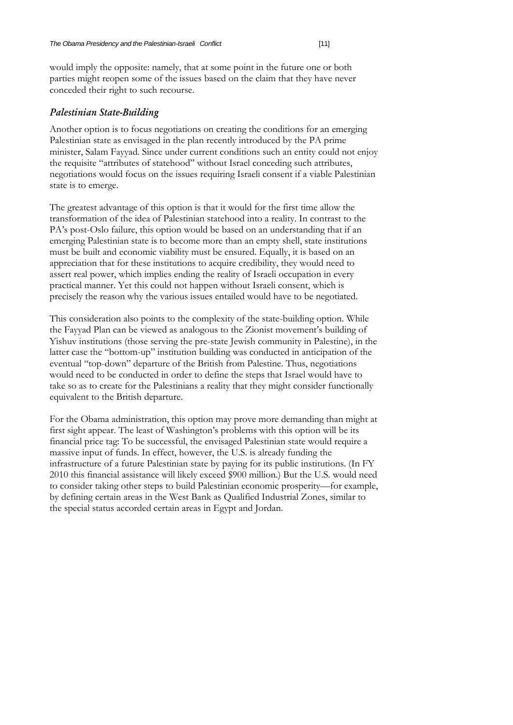would imply the opposite: namely, that at some point in the future one or both parties might reopen some of the issues based on the claim that they have never conceded their right to such recourse.

#### *Palestinian State-Building*

Another option is to focus negotiations on creating the conditions for an emerging Palestinian state as envisaged in the plan recently introduced by the PA prime minister, Salam Fayyad. Since under current conditions such an entity could not enjoy the requisite "attributes of statehood" without Israel conceding such attributes, negotiations would focus on the issues requiring Israeli consent if a viable Palestinian state is to emerge.

The greatest advantage of this option is that it would for the first time allow the transformation of the idea of Palestinian statehood into a reality. In contrast to the PA's post-Oslo failure, this option would be based on an understanding that if an emerging Palestinian state is to become more than an empty shell, state institutions must be built and economic viability must be ensured. Equally, it is based on an appreciation that for these institutions to acquire credibility, they would need to assert real power, which implies ending the reality of Israeli occupation in every practical manner. Yet this could not happen without Israeli consent, which is precisely the reason why the various issues entailed would have to be negotiated.

This consideration also points to the complexity of the state-building option. While the Fayyad Plan can be viewed as analogous to the Zionist movement's building of Yishuv institutions (those serving the pre-state Jewish community in Palestine), in the latter case the "bottom-up" institution building was conducted in anticipation of the eventual "top-down" departure of the British from Palestine. Thus, negotiations would need to be conducted in order to define the steps that Israel would have to take so as to create for the Palestinians a reality that they might consider functionally equivalent to the British departure.

For the Obama administration, this option may prove more demanding than might at first sight appear. The least of Washington's problems with this option will be its financial price tag: To be successful, the envisaged Palestinian state would require a massive input of funds. In effect, however, the U.S. is already funding the infrastructure of a future Palestinian state by paying for its public institutions. (In FY 2010 this financial assistance will likely exceed \$900 million.) But the U.S. would need to consider taking other steps to build Palestinian economic prosperity—for example, by defining certain areas in the West Bank as Qualified Industrial Zones, similar to the special status accorded certain areas in Egypt and Jordan.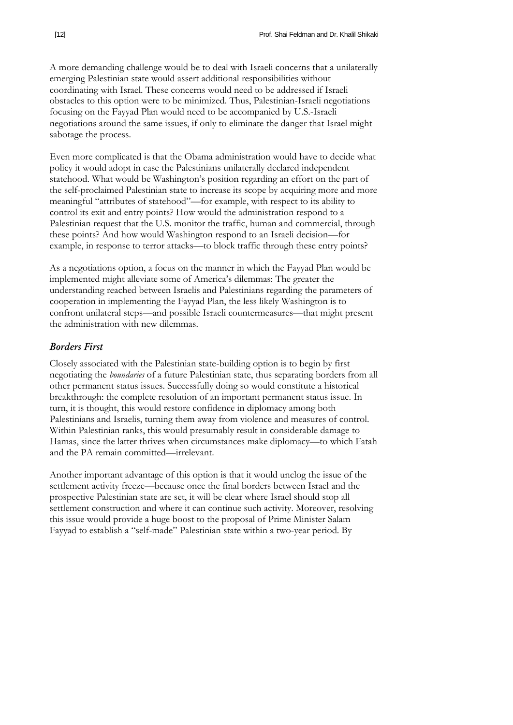A more demanding challenge would be to deal with Israeli concerns that a unilaterally emerging Palestinian state would assert additional responsibilities without coordinating with Israel. These concerns would need to be addressed if Israeli obstacles to this option were to be minimized. Thus, Palestinian-Israeli negotiations focusing on the Fayyad Plan would need to be accompanied by U.S.-Israeli negotiations around the same issues, if only to eliminate the danger that Israel might sabotage the process.

Even more complicated is that the Obama administration would have to decide what policy it would adopt in case the Palestinians unilaterally declared independent statehood. What would be Washington's position regarding an effort on the part of the self-proclaimed Palestinian state to increase its scope by acquiring more and more meaningful "attributes of statehood"—for example, with respect to its ability to control its exit and entry points? How would the administration respond to a Palestinian request that the U.S. monitor the traffic, human and commercial, through these points? And how would Washington respond to an Israeli decision—for example, in response to terror attacks—to block traffic through these entry points?

As a negotiations option, a focus on the manner in which the Fayyad Plan would be implemented might alleviate some of America's dilemmas: The greater the understanding reached between Israelis and Palestinians regarding the parameters of cooperation in implementing the Fayyad Plan, the less likely Washington is to confront unilateral steps—and possible Israeli countermeasures—that might present the administration with new dilemmas.

#### *Borders First*

Closely associated with the Palestinian state-building option is to begin by first negotiating the *boundaries* of a future Palestinian state, thus separating borders from all other permanent status issues. Successfully doing so would constitute a historical breakthrough: the complete resolution of an important permanent status issue. In turn, it is thought, this would restore confidence in diplomacy among both Palestinians and Israelis, turning them away from violence and measures of control. Within Palestinian ranks, this would presumably result in considerable damage to Hamas, since the latter thrives when circumstances make diplomacy—to which Fatah and the PA remain committed—irrelevant.

Another important advantage of this option is that it would unclog the issue of the settlement activity freeze—because once the final borders between Israel and the prospective Palestinian state are set, it will be clear where Israel should stop all settlement construction and where it can continue such activity. Moreover, resolving this issue would provide a huge boost to the proposal of Prime Minister Salam Fayyad to establish a "self-made" Palestinian state within a two-year period. By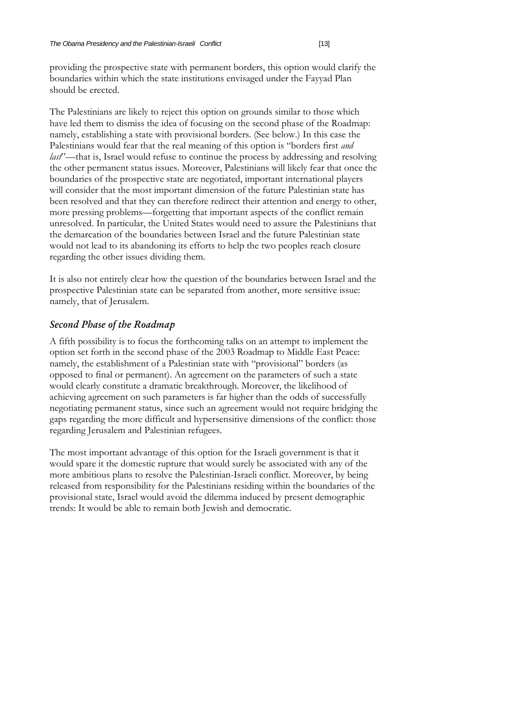providing the prospective state with permanent borders, this option would clarify the boundaries within which the state institutions envisaged under the Fayyad Plan should be erected.

The Palestinians are likely to reject this option on grounds similar to those which have led them to dismiss the idea of focusing on the second phase of the Roadmap: namely, establishing a state with provisional borders. (See below.) In this case the Palestinians would fear that the real meaning of this option is "borders first *and last*'—that is, Israel would refuse to continue the process by addressing and resolving the other permanent status issues. Moreover, Palestinians will likely fear that once the boundaries of the prospective state are negotiated, important international players will consider that the most important dimension of the future Palestinian state has been resolved and that they can therefore redirect their attention and energy to other, more pressing problems—forgetting that important aspects of the conflict remain unresolved. In particular, the United States would need to assure the Palestinians that the demarcation of the boundaries between Israel and the future Palestinian state would not lead to its abandoning its efforts to help the two peoples reach closure regarding the other issues dividing them.

It is also not entirely clear how the question of the boundaries between Israel and the prospective Palestinian state can be separated from another, more sensitive issue: namely, that of Jerusalem.

#### *Second Phase of the Roadmap*

A fifth possibility is to focus the forthcoming talks on an attempt to implement the option set forth in the second phase of the 2003 Roadmap to Middle East Peace: namely, the establishment of a Palestinian state with "provisional" borders (as opposed to final or permanent). An agreement on the parameters of such a state would clearly constitute a dramatic breakthrough. Moreover, the likelihood of achieving agreement on such parameters is far higher than the odds of successfully negotiating permanent status, since such an agreement would not require bridging the gaps regarding the more difficult and hypersensitive dimensions of the conflict: those regarding Jerusalem and Palestinian refugees.

The most important advantage of this option for the Israeli government is that it would spare it the domestic rupture that would surely be associated with any of the more ambitious plans to resolve the Palestinian-Israeli conflict. Moreover, by being released from responsibility for the Palestinians residing within the boundaries of the provisional state, Israel would avoid the dilemma induced by present demographic trends: It would be able to remain both Jewish and democratic.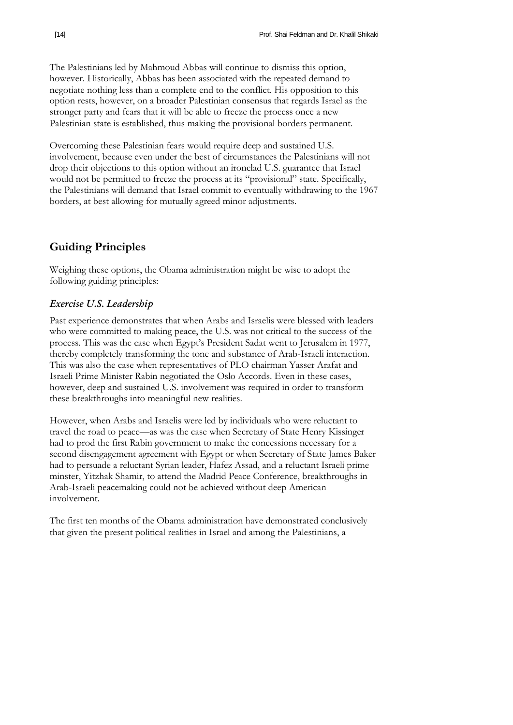The Palestinians led by Mahmoud Abbas will continue to dismiss this option, however. Historically, Abbas has been associated with the repeated demand to negotiate nothing less than a complete end to the conflict. His opposition to this option rests, however, on a broader Palestinian consensus that regards Israel as the stronger party and fears that it will be able to freeze the process once a new Palestinian state is established, thus making the provisional borders permanent.

Overcoming these Palestinian fears would require deep and sustained U.S. involvement, because even under the best of circumstances the Palestinians will not drop their objections to this option without an ironclad U.S. guarantee that Israel would not be permitted to freeze the process at its "provisional" state. Specifically, the Palestinians will demand that Israel commit to eventually withdrawing to the 1967 borders, at best allowing for mutually agreed minor adjustments.

# **Guiding Principles**

Weighing these options, the Obama administration might be wise to adopt the following guiding principles:

### *Exercise U.S. Leadership*

Past experience demonstrates that when Arabs and Israelis were blessed with leaders who were committed to making peace, the U.S. was not critical to the success of the process. This was the case when Egypt's President Sadat went to Jerusalem in 1977, thereby completely transforming the tone and substance of Arab-Israeli interaction. This was also the case when representatives of PLO chairman Yasser Arafat and Israeli Prime Minister Rabin negotiated the Oslo Accords. Even in these cases, however, deep and sustained U.S. involvement was required in order to transform these breakthroughs into meaningful new realities.

However, when Arabs and Israelis were led by individuals who were reluctant to travel the road to peace—as was the case when Secretary of State Henry Kissinger had to prod the first Rabin government to make the concessions necessary for a second disengagement agreement with Egypt or when Secretary of State James Baker had to persuade a reluctant Syrian leader, Hafez Assad, and a reluctant Israeli prime minster, Yitzhak Shamir, to attend the Madrid Peace Conference, breakthroughs in Arab-Israeli peacemaking could not be achieved without deep American involvement.

The first ten months of the Obama administration have demonstrated conclusively that given the present political realities in Israel and among the Palestinians, a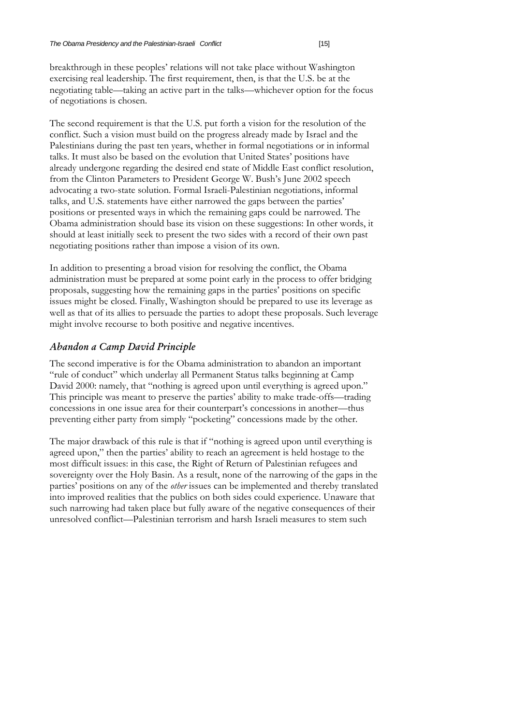breakthrough in these peoples' relations will not take place without Washington exercising real leadership. The first requirement, then, is that the U.S. be at the negotiating table—taking an active part in the talks—whichever option for the focus of negotiations is chosen.

The second requirement is that the U.S. put forth a vision for the resolution of the conflict. Such a vision must build on the progress already made by Israel and the Palestinians during the past ten years, whether in formal negotiations or in informal talks. It must also be based on the evolution that United States' positions have already undergone regarding the desired end state of Middle East conflict resolution, from the Clinton Parameters to President George W. Bush's June 2002 speech advocating a two-state solution. Formal Israeli-Palestinian negotiations, informal talks, and U.S. statements have either narrowed the gaps between the parties' positions or presented ways in which the remaining gaps could be narrowed. The Obama administration should base its vision on these suggestions: In other words, it should at least initially seek to present the two sides with a record of their own past negotiating positions rather than impose a vision of its own.

In addition to presenting a broad vision for resolving the conflict, the Obama administration must be prepared at some point early in the process to offer bridging proposals, suggesting how the remaining gaps in the parties' positions on specific issues might be closed. Finally, Washington should be prepared to use its leverage as well as that of its allies to persuade the parties to adopt these proposals. Such leverage might involve recourse to both positive and negative incentives.

# *Abandon a Camp David Principle*

The second imperative is for the Obama administration to abandon an important "rule of conduct" which underlay all Permanent Status talks beginning at Camp David 2000: namely, that "nothing is agreed upon until everything is agreed upon." This principle was meant to preserve the parties' ability to make trade-offs—trading concessions in one issue area for their counterpart's concessions in another—thus preventing either party from simply "pocketing" concessions made by the other.

The major drawback of this rule is that if "nothing is agreed upon until everything is agreed upon," then the parties' ability to reach an agreement is held hostage to the most difficult issues: in this case, the Right of Return of Palestinian refugees and sovereignty over the Holy Basin. As a result, none of the narrowing of the gaps in the parties' positions on any of the *other* issues can be implemented and thereby translated into improved realities that the publics on both sides could experience. Unaware that such narrowing had taken place but fully aware of the negative consequences of their unresolved conflict—Palestinian terrorism and harsh Israeli measures to stem such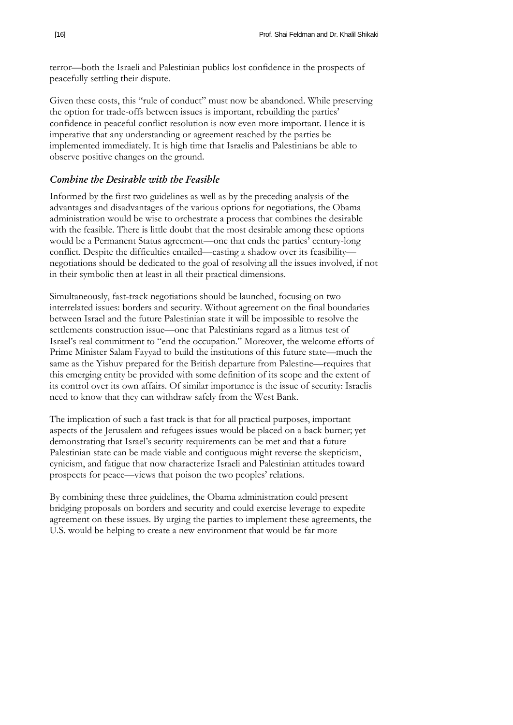terror—both the Israeli and Palestinian publics lost confidence in the prospects of peacefully settling their dispute.

Given these costs, this "rule of conduct" must now be abandoned. While preserving the option for trade-offs between issues is important, rebuilding the parties' confidence in peaceful conflict resolution is now even more important. Hence it is imperative that any understanding or agreement reached by the parties be implemented immediately. It is high time that Israelis and Palestinians be able to observe positive changes on the ground.

#### *Combine the Desirable with the Feasible*

Informed by the first two guidelines as well as by the preceding analysis of the advantages and disadvantages of the various options for negotiations, the Obama administration would be wise to orchestrate a process that combines the desirable with the feasible. There is little doubt that the most desirable among these options would be a Permanent Status agreement—one that ends the parties' century-long conflict. Despite the difficulties entailed—casting a shadow over its feasibility negotiations should be dedicated to the goal of resolving all the issues involved, if not in their symbolic then at least in all their practical dimensions.

Simultaneously, fast-track negotiations should be launched, focusing on two interrelated issues: borders and security. Without agreement on the final boundaries between Israel and the future Palestinian state it will be impossible to resolve the settlements construction issue—one that Palestinians regard as a litmus test of Israel's real commitment to "end the occupation." Moreover, the welcome efforts of Prime Minister Salam Fayyad to build the institutions of this future state—much the same as the Yishuv prepared for the British departure from Palestine—requires that this emerging entity be provided with some definition of its scope and the extent of its control over its own affairs. Of similar importance is the issue of security: Israelis need to know that they can withdraw safely from the West Bank.

The implication of such a fast track is that for all practical purposes, important aspects of the Jerusalem and refugees issues would be placed on a back burner; yet demonstrating that Israel's security requirements can be met and that a future Palestinian state can be made viable and contiguous might reverse the skepticism, cynicism, and fatigue that now characterize Israeli and Palestinian attitudes toward prospects for peace—views that poison the two peoples' relations.

By combining these three guidelines, the Obama administration could present bridging proposals on borders and security and could exercise leverage to expedite agreement on these issues. By urging the parties to implement these agreements, the U.S. would be helping to create a new environment that would be far more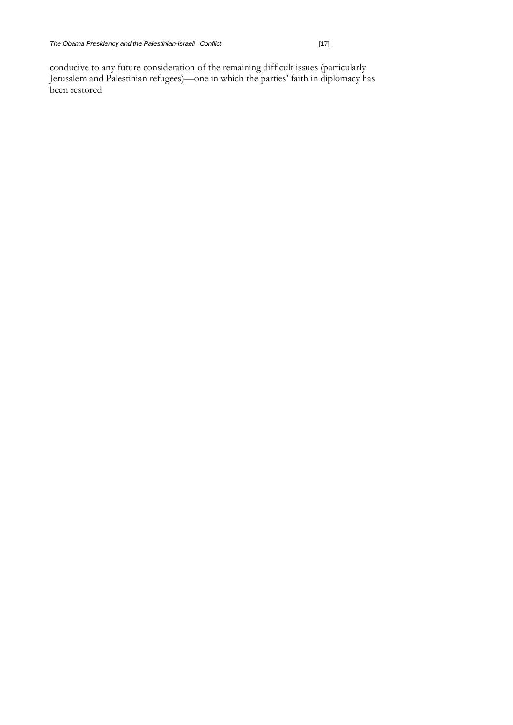conducive to any future consideration of the remaining difficult issues (particularly Jerusalem and Palestinian refugees)—one in which the parties' faith in diplomacy has been restored.